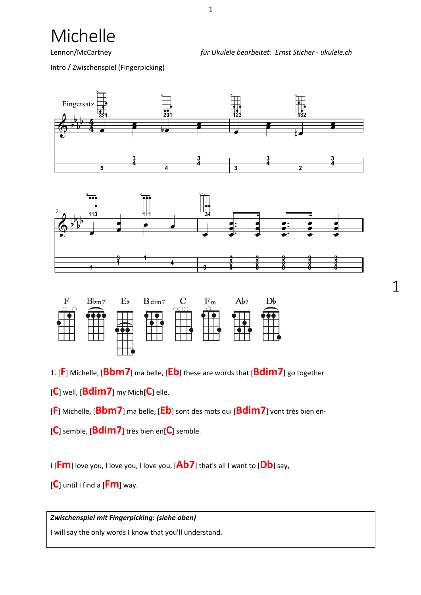Michelle

Lennon/McCartney *für Ukulele bearbeitet: Ernst Sticher - ukulele.ch*

1

Intro / Zwischenspiel (Fingerpicking)





| F | $B_{\rm bm7}$ | $E_{b}$ | $B \dim 7$ | $\mathbf C$ | F <sub>m</sub> | Ab7 | $D_P$ |
|---|---------------|---------|------------|-------------|----------------|-----|-------|
|   |               | ᆚ       |            |             |                |     |       |

1. [**F**] Michelle, [**Bbm7**] ma belle, [**Eb**] these are words that [**Bdim7**] go together

[**C**] well, [**Bdim7**] my Mich[**C**] elle.

[**F**] Michelle, [**Bbm7**] ma belle, [**Eb**] sont des mots qui [**Bdim7**] vont très bien en-

[**C**] semble, [**Bdim7**] très bien en[**C**] semble.

I [**Fm**] love you, I love you, I love you, [**Ab7**] that's all I want to [**Db**] say,

[**C**] until I find a [**Fm**] way.

*Zwischenspiel mit Fingerpicking: (siehe oben)*

I will say the only words I know that you'll understand.